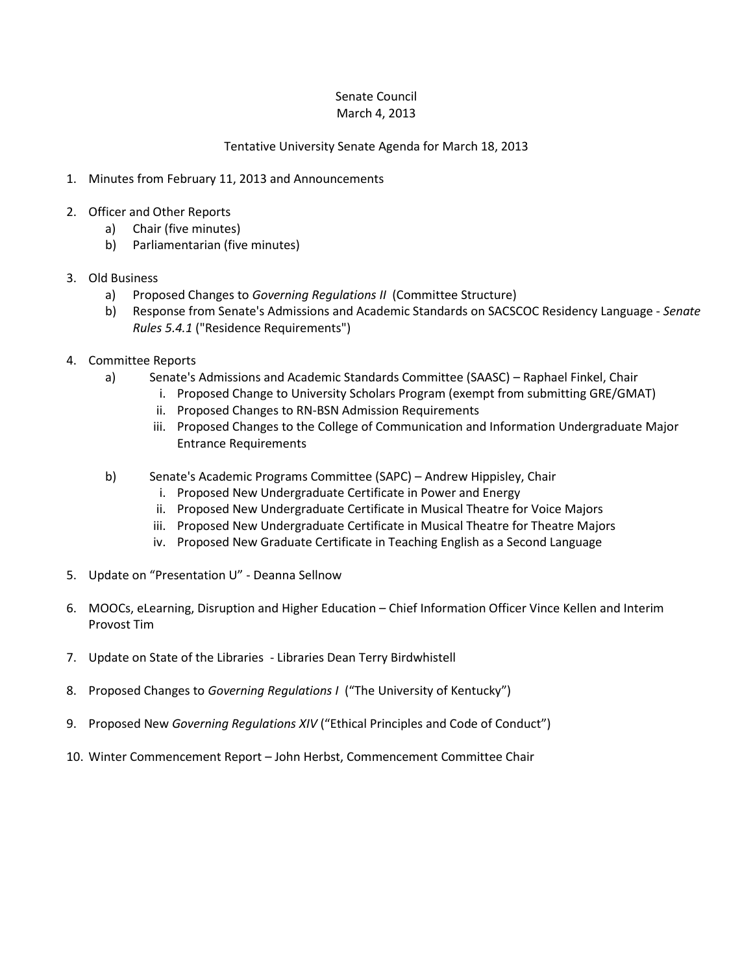## Senate Council March 4, 2013

## Tentative University Senate Agenda for March 18, 2013

- 1. Minutes from February 11, 2013 and Announcements
- 2. Officer and Other Reports
	- a) Chair (five minutes)
	- b) Parliamentarian (five minutes)
- 3. Old Business
	- a) Proposed Changes to *Governing Regulations II* (Committee Structure)
	- b) Response from Senate's Admissions and Academic Standards on SACSCOC Residency Language *Senate Rules 5.4.1* ("Residence Requirements")
- 4. Committee Reports
	- a) Senate's Admissions and Academic Standards Committee (SAASC) Raphael Finkel, Chair
		- i. Proposed Change to University Scholars Program (exempt from submitting GRE/GMAT)
		- ii. Proposed Changes to RN-BSN Admission Requirements
		- iii. Proposed Changes to the College of Communication and Information Undergraduate Major Entrance Requirements
	- b) Senate's Academic Programs Committee (SAPC) Andrew Hippisley, Chair
		- i. Proposed New Undergraduate Certificate in Power and Energy
		- ii. Proposed New Undergraduate Certificate in Musical Theatre for Voice Majors
		- iii. Proposed New Undergraduate Certificate in Musical Theatre for Theatre Majors
		- iv. Proposed New Graduate Certificate in Teaching English as a Second Language
- 5. Update on "Presentation U" Deanna Sellnow
- 6. MOOCs, eLearning, Disruption and Higher Education Chief Information Officer Vince Kellen and Interim Provost Tim
- 7. Update on State of the Libraries Libraries Dean Terry Birdwhistell
- 8. Proposed Changes to *Governing Regulations I* ("The University of Kentucky")
- 9. Proposed New *Governing Regulations XIV* ("Ethical Principles and Code of Conduct")
- 10. Winter Commencement Report John Herbst, Commencement Committee Chair